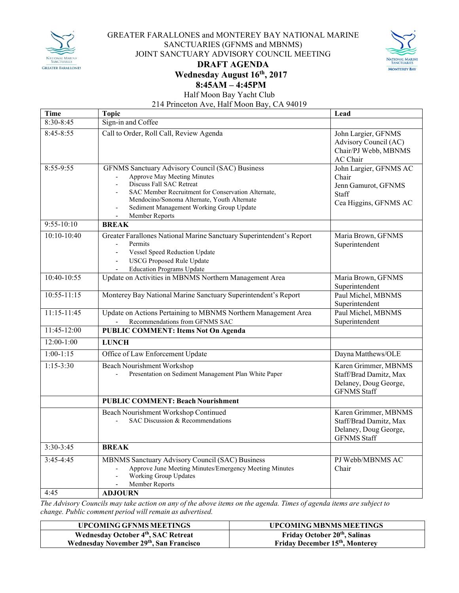

## GREATER FARALLONES and MONTEREY BAY NATIONAL MARINE SANCTUARIES (GFNMS and MBNMS) JOINT SANCTUARY ADVISORY COUNCIL MEETING **DRAFT AGENDA Wednesday August 16th, 2017**



## **8:45AM – 4:45PM**

Half Moon Bay Yacht Club

214 Princeton Ave, Half Moon Bay, CA 94019

| Time            | <b>Topic</b>                                                                                                                                                                                                                                                                  | Lead                                                                                          |
|-----------------|-------------------------------------------------------------------------------------------------------------------------------------------------------------------------------------------------------------------------------------------------------------------------------|-----------------------------------------------------------------------------------------------|
| $8:30 - 8:45$   | Sign-in and Coffee                                                                                                                                                                                                                                                            |                                                                                               |
| $8:45 - 8:55$   | Call to Order, Roll Call, Review Agenda                                                                                                                                                                                                                                       | John Largier, GFNMS<br>Advisory Council (AC)<br>Chair/PJ Webb, MBNMS<br>AC Chair              |
| 8:55-9:55       | GFNMS Sanctuary Advisory Council (SAC) Business<br>Approve May Meeting Minutes<br>Discuss Fall SAC Retreat<br>SAC Member Recruitment for Conservation Alternate,<br>Mendocino/Sonoma Alternate, Youth Alternate<br>Sediment Management Working Group Update<br>Member Reports | John Largier, GFNMS AC<br>Chair<br>Jenn Gamurot, GFNMS<br>Staff<br>Cea Higgins, GFNMS AC      |
| $9:55-10:10$    | <b>BREAK</b>                                                                                                                                                                                                                                                                  |                                                                                               |
| $10:10-10:40$   | Greater Farallones National Marine Sanctuary Superintendent's Report<br>Permits<br>Vessel Speed Reduction Update<br>$\frac{1}{2}$<br><b>USCG Proposed Rule Update</b><br><b>Education Programs Update</b><br>÷.                                                               | Maria Brown, GFNMS<br>Superintendent                                                          |
| $10:40-10:55$   | Update on Activities in MBNMS Northern Management Area                                                                                                                                                                                                                        | Maria Brown, GFNMS<br>Superintendent                                                          |
| $10:55 - 11:15$ | Monterey Bay National Marine Sanctuary Superintendent's Report                                                                                                                                                                                                                | Paul Michel, MBNMS<br>Superintendent                                                          |
| 11:15-11:45     | Update on Actions Pertaining to MBNMS Northern Management Area<br>Recommendations from GFNMS SAC                                                                                                                                                                              | Paul Michel, MBNMS<br>Superintendent                                                          |
| 11:45-12:00     | <b>PUBLIC COMMENT: Items Not On Agenda</b>                                                                                                                                                                                                                                    |                                                                                               |
| $12:00-1:00$    | <b>LUNCH</b>                                                                                                                                                                                                                                                                  |                                                                                               |
| $1:00-1:15$     | Office of Law Enforcement Update                                                                                                                                                                                                                                              | Dayna Matthews/OLE                                                                            |
| $1:15 - 3:30$   | <b>Beach Nourishment Workshop</b><br>Presentation on Sediment Management Plan White Paper                                                                                                                                                                                     | Karen Grimmer, MBNMS<br>Staff/Brad Damitz, Max<br>Delaney, Doug George,<br><b>GFNMS Staff</b> |
|                 | <b>PUBLIC COMMENT: Beach Nourishment</b>                                                                                                                                                                                                                                      |                                                                                               |
|                 | Beach Nourishment Workshop Continued<br>SAC Discussion & Recommendations                                                                                                                                                                                                      | Karen Grimmer, MBNMS<br>Staff/Brad Damitz, Max<br>Delaney, Doug George,<br><b>GFNMS Staff</b> |
| $3:30-3:45$     | <b>BREAK</b>                                                                                                                                                                                                                                                                  |                                                                                               |
| $3:45-4:45$     | MBNMS Sanctuary Advisory Council (SAC) Business<br>Approve June Meeting Minutes/Emergency Meeting Minutes<br>Working Group Updates<br>Member Reports                                                                                                                          | PJ Webb/MBNMS AC<br>Chair                                                                     |
| 4:45            | <b>ADJOURN</b>                                                                                                                                                                                                                                                                |                                                                                               |

The Advisory Councils may take action on any of the above items on the agenda. Times of agenda items are subject to *change. Public comment period will remain as advertised.*

| UPCOMING GFNMS MEETINGS                         | <b>UPCOMING MBNMS MEETINGS</b>              |
|-------------------------------------------------|---------------------------------------------|
| Wednesday October 4 <sup>th</sup> , SAC Retreat | <b>Friday October 20th, Salinas</b>         |
| Wednesday November 29th, San Francisco          | Friday December 15 <sup>th</sup> , Monterey |